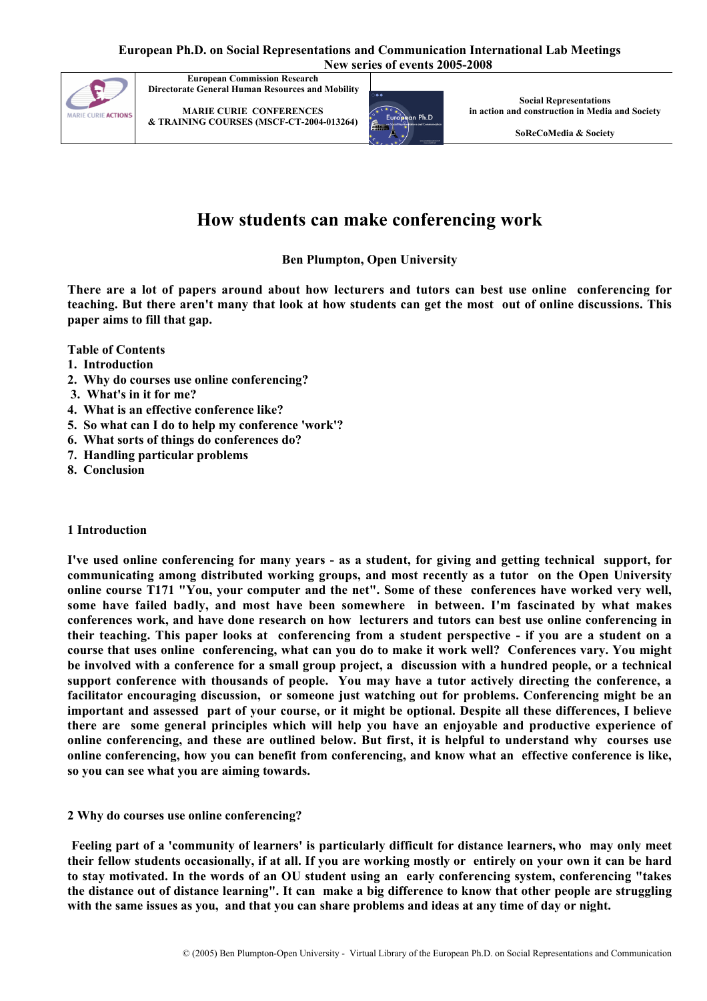

MARIE CURIE CONFERENCES & TRAINING COURSES (MSCF-CT-2004-013264)



Social Representations in action and construction in Media and Society

SoReCoMedia & Society

# How students can make conferencing work

## Ben Plumpton, Open University

There are a lot of papers around about how lecturers and tutors can best use online conferencing for teaching. But there aren't many that look at how students can get the most out of online discussions. This paper aims to fill that gap.

Table of Contents

- 1. Introduction
- 2. Why do courses use online conferencing?
- 3. What's in it for me?
- 4. What is an effective conference like?
- 5. So what can I do to help my conference 'work'?
- 6. What sorts of things do conferences do?
- 7. Handling particular problems
- 8. Conclusion

#### 1 Introduction

I've used online conferencing for many years - as a student, for giving and getting technical support, for communicating among distributed working groups, and most recently as a tutor on the Open University online course T171 "You, your computer and the net". Some of these conferences have worked very well, some have failed badly, and most have been somewhere in between. I'm fascinated by what makes conferences work, and have done research on how lecturers and tutors can best use online conferencing in their teaching. This paper looks at conferencing from a student perspective - if you are a student on a course that uses online conferencing, what can you do to make it work well? Conferences vary. You might be involved with a conference for a small group project, a discussion with a hundred people, or a technical support conference with thousands of people. You may have a tutor actively directing the conference, a facilitator encouraging discussion, or someone just watching out for problems. Conferencing might be an important and assessed part of your course, or it might be optional. Despite all these differences, I believe there are some general principles which will help you have an enjoyable and productive experience of online conferencing, and these are outlined below. But first, it is helpful to understand why courses use online conferencing, how you can benefit from conferencing, and know what an effective conference is like, so you can see what you are aiming towards.

#### 2 Why do courses use online conferencing?

Feeling part of a 'community of learners' is particularly difficult for distance learners, who may only meet their fellow students occasionally, if at all. If you are working mostly or entirely on your own it can be hard to stay motivated. In the words of an OU student using an early conferencing system, conferencing "takes the distance out of distance learning". It can make a big difference to know that other people are struggling with the same issues as you, and that you can share problems and ideas at any time of day or night.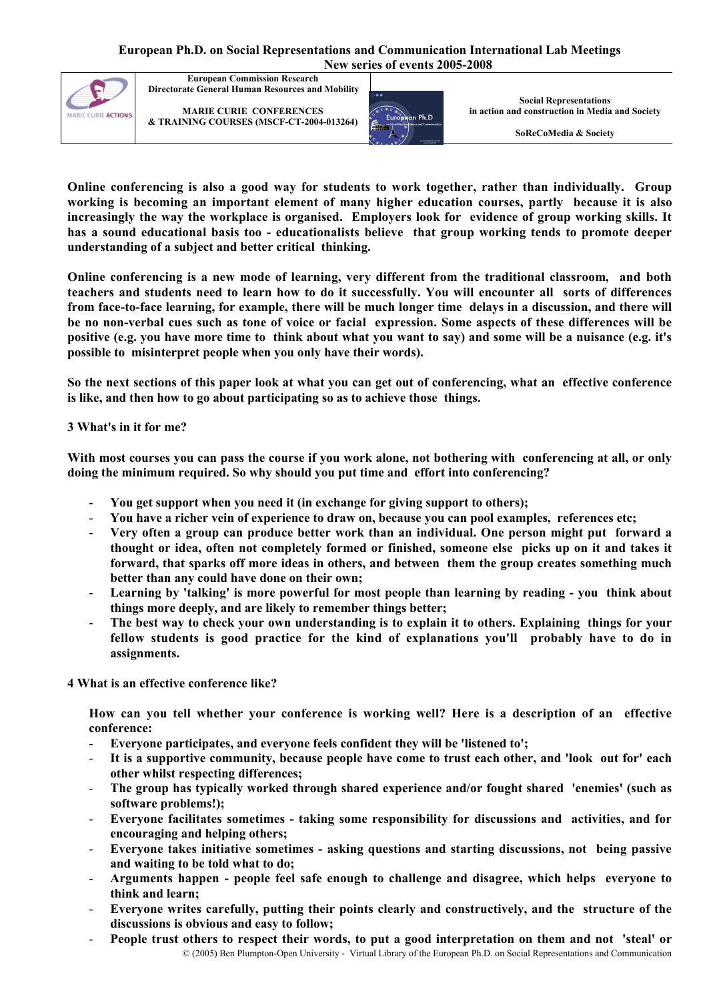

MARIE CURIE CONFERENCES & TRAINING COURSES (MSCF-CT-2004-013264)



Social Representations in action and construction in Media and Society

SoReCoMedia & Society

Online conferencing is also a good way for students to work together, rather than individually. Group working is becoming an important element of many higher education courses, partly because it is also increasingly the way the workplace is organised. Employers look for evidence of group working skills. It has a sound educational basis too - educationalists believe that group working tends to promote deeper understanding of a subject and better critical thinking.

Online conferencing is a new mode of learning, very different from the traditional classroom, and both teachers and students need to learn how to do it successfully. You will encounter all sorts of differences from face-to-face learning, for example, there will be much longer time delays in a discussion, and there will be no non-verbal cues such as tone of voice or facial expression. Some aspects of these differences will be positive (e.g. you have more time to think about what you want to say) and some will be a nuisance (e.g. it's possible to misinterpret people when you only have their words).

So the next sections of this paper look at what you can get out of conferencing, what an effective conference is like, and then how to go about participating so as to achieve those things.

## 3 What's in it for me?

With most courses you can pass the course if you work alone, not bothering with conferencing at all, or only doing the minimum required. So why should you put time and effort into conferencing?

- You get support when you need it (in exchange for giving support to others);
- You have a richer vein of experience to draw on, because you can pool examples, references etc;
- Very often a group can produce better work than an individual. One person might put forward a thought or idea, often not completely formed or finished, someone else picks up on it and takes it forward, that sparks off more ideas in others, and between them the group creates something much better than any could have done on their own;
- Learning by 'talking' is more powerful for most people than learning by reading you think about things more deeply, and are likely to remember things better;
- The best way to check your own understanding is to explain it to others. Explaining things for your fellow students is good practice for the kind of explanations you'll probably have to do in assignments.

4 What is an effective conference like?

How can you tell whether your conference is working well? Here is a description of an effective conference:

- Everyone participates, and everyone feels confident they will be 'listened to';
- It is a supportive community, because people have come to trust each other, and 'look out for' each other whilst respecting differences;
- The group has typically worked through shared experience and/or fought shared 'enemies' (such as software problems!);
- Everyone facilitates sometimes taking some responsibility for discussions and activities, and for encouraging and helping others;
- Everyone takes initiative sometimes asking questions and starting discussions, not being passive and waiting to be told what to do;
- Arguments happen people feel safe enough to challenge and disagree, which helps everyone to think and learn;
- Everyone writes carefully, putting their points clearly and constructively, and the structure of the discussions is obvious and easy to follow;
- © (2005) Ben Plumpton-Open University Virtual Library of the European Ph.D. on Social Representations and Communication People trust others to respect their words, to put a good interpretation on them and not 'steal' or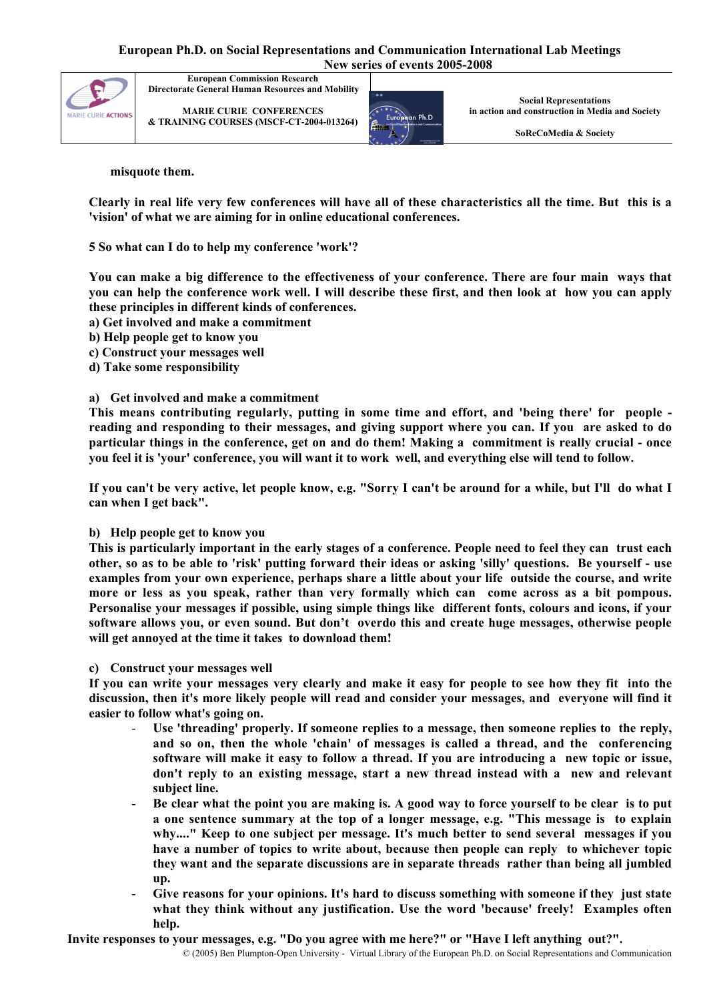

MARIE CURIE CONFERENCES & TRAINING COURSES (MSCF-CT-2004-013264)



Social Representations in action and construction in Media and Society

SoReCoMedia & Society

misquote them.

Clearly in real life very few conferences will have all of these characteristics all the time. But this is a 'vision' of what we are aiming for in online educational conferences.

5 So what can I do to help my conference 'work'?

You can make a big difference to the effectiveness of your conference. There are four main ways that you can help the conference work well. I will describe these first, and then look at how you can apply these principles in different kinds of conferences.

- a) Get involved and make a commitment
- b) Help people get to know you
- c) Construct your messages well
- d) Take some responsibility

## a) Get involved and make a commitment

This means contributing regularly, putting in some time and effort, and 'being there' for people reading and responding to their messages, and giving support where you can. If you are asked to do particular things in the conference, get on and do them! Making a commitment is really crucial - once you feel it is 'your' conference, you will want it to work well, and everything else will tend to follow.

If you can't be very active, let people know, e.g. "Sorry I can't be around for a while, but I'll do what I can when I get back".

#### b) Help people get to know you

This is particularly important in the early stages of a conference. People need to feel they can trust each other, so as to be able to 'risk' putting forward their ideas or asking 'silly' questions. Be yourself - use examples from your own experience, perhaps share a little about your life outside the course, and write more or less as you speak, rather than very formally which can come across as a bit pompous. Personalise your messages if possible, using simple things like different fonts, colours and icons, if your software allows you, or even sound. But don't overdo this and create huge messages, otherwise people will get annoyed at the time it takes to download them!

#### c) Construct your messages well

If you can write your messages very clearly and make it easy for people to see how they fit into the discussion, then it's more likely people will read and consider your messages, and everyone will find it easier to follow what's going on.

- Use 'threading' properly. If someone replies to a message, then someone replies to the reply, and so on, then the whole 'chain' of messages is called a thread, and the conferencing software will make it easy to follow a thread. If you are introducing a new topic or issue, don't reply to an existing message, start a new thread instead with a new and relevant subject line.
- Be clear what the point you are making is. A good way to force yourself to be clear is to put a one sentence summary at the top of a longer message, e.g. "This message is to explain why...." Keep to one subject per message. It's much better to send several messages if you have a number of topics to write about, because then people can reply to whichever topic they want and the separate discussions are in separate threads rather than being all jumbled up.
- Give reasons for your opinions. It's hard to discuss something with someone if they just state what they think without any justification. Use the word 'because' freely! Examples often help.

Invite responses to your messages, e.g. "Do you agree with me here?" or "Have I left anything out?".

© (2005) Ben Plumpton-Open University - Virtual Library of the European Ph.D. on Social Representations and Communication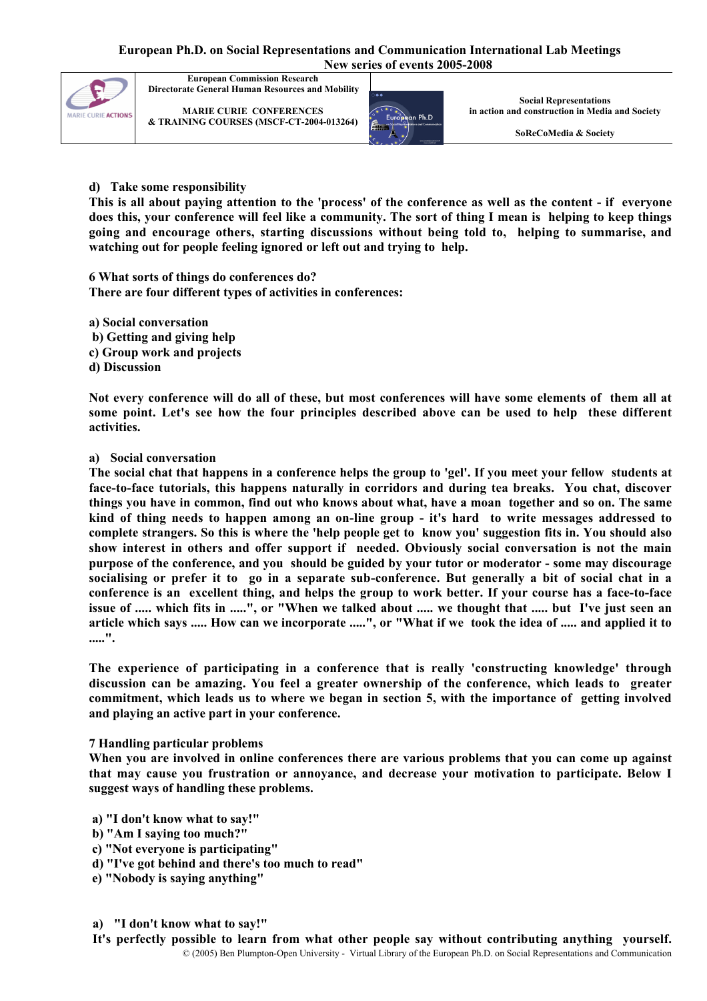

MARIE CURIE CONFERENCES & TRAINING COURSES (MSCF-CT-2004-013264)



Social Representations in action and construction in Media and Society

SoReCoMedia & Society

## d) Take some responsibility

This is all about paying attention to the 'process' of the conference as well as the content - if everyone does this, your conference will feel like a community. The sort of thing I mean is helping to keep things going and encourage others, starting discussions without being told to, helping to summarise, and watching out for people feeling ignored or left out and trying to help.

6 What sorts of things do conferences do? There are four different types of activities in conferences:

a) Social conversation b) Getting and giving help c) Group work and projects

d) Discussion

Not every conference will do all of these, but most conferences will have some elements of them all at some point. Let's see how the four principles described above can be used to help these different activities.

#### a) Social conversation

The social chat that happens in a conference helps the group to 'gel'. If you meet your fellow students at face-to-face tutorials, this happens naturally in corridors and during tea breaks. You chat, discover things you have in common, find out who knows about what, have a moan together and so on. The same kind of thing needs to happen among an on-line group - it's hard to write messages addressed to complete strangers. So this is where the 'help people get to know you' suggestion fits in. You should also show interest in others and offer support if needed. Obviously social conversation is not the main purpose of the conference, and you should be guided by your tutor or moderator - some may discourage socialising or prefer it to go in a separate sub-conference. But generally a bit of social chat in a conference is an excellent thing, and helps the group to work better. If your course has a face-to-face issue of ..... which fits in .....", or "When we talked about ..... we thought that ..... but I've just seen an article which says ..... How can we incorporate .....", or "What if we took the idea of ..... and applied it to .....".

The experience of participating in a conference that is really 'constructing knowledge' through discussion can be amazing. You feel a greater ownership of the conference, which leads to greater commitment, which leads us to where we began in section 5, with the importance of getting involved and playing an active part in your conference.

#### 7 Handling particular problems

When you are involved in online conferences there are various problems that you can come up against that may cause you frustration or annoyance, and decrease your motivation to participate. Below I suggest ways of handling these problems.

a) "I don't know what to say!"

- b) "Am I saying too much?"
- c) "Not everyone is participating"
- d) "I've got behind and there's too much to read"
- e) "Nobody is saying anything"
- a) "I don't know what to say!"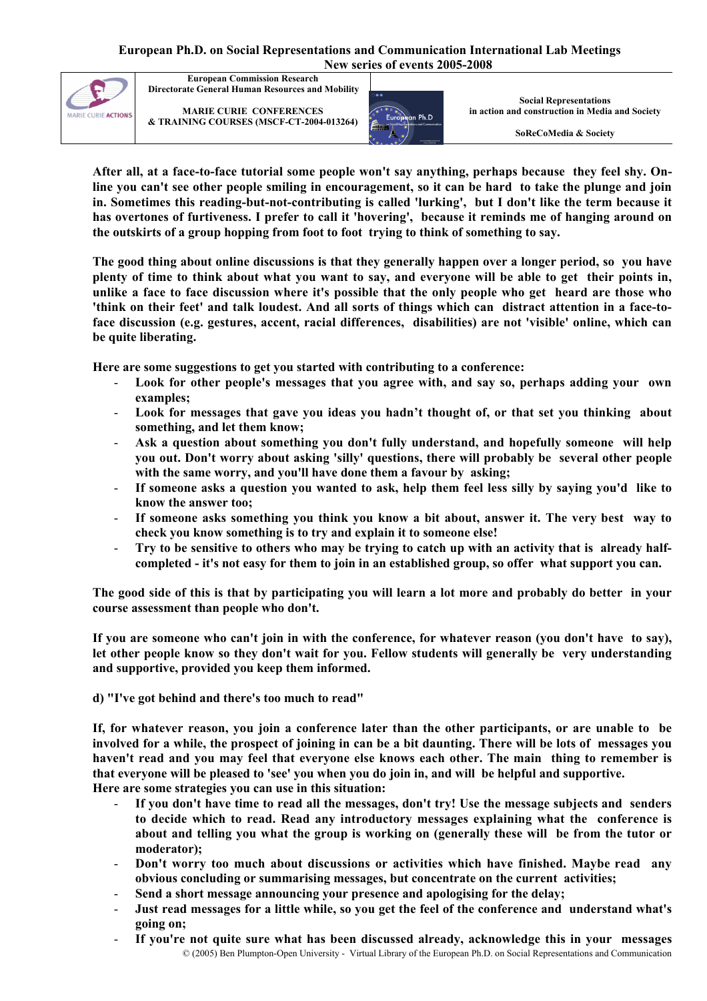

MARIE CURIE CONFERENCES & TRAINING COURSES (MSCF-CT-2004-013264)



Social Representations in action and construction in Media and Society

SoReCoMedia & Society

After all, at a face-to-face tutorial some people won't say anything, perhaps because they feel shy. Online you can't see other people smiling in encouragement, so it can be hard to take the plunge and join in. Sometimes this reading-but-not-contributing is called 'lurking', but I don't like the term because it has overtones of furtiveness. I prefer to call it 'hovering', because it reminds me of hanging around on the outskirts of a group hopping from foot to foot trying to think of something to say.

The good thing about online discussions is that they generally happen over a longer period, so you have plenty of time to think about what you want to say, and everyone will be able to get their points in, unlike a face to face discussion where it's possible that the only people who get heard are those who 'think on their feet' and talk loudest. And all sorts of things which can distract attention in a face-toface discussion (e.g. gestures, accent, racial differences, disabilities) are not 'visible' online, which can be quite liberating.

Here are some suggestions to get you started with contributing to a conference:

- Look for other people's messages that you agree with, and say so, perhaps adding your own examples;
- Look for messages that gave you ideas you hadn't thought of, or that set you thinking about something, and let them know;
- Ask a question about something you don't fully understand, and hopefully someone will help you out. Don't worry about asking 'silly' questions, there will probably be several other people with the same worry, and you'll have done them a favour by asking;
- If someone asks a question you wanted to ask, help them feel less silly by saying you'd like to know the answer too;
- If someone asks something you think you know a bit about, answer it. The very best way to check you know something is to try and explain it to someone else!
- Try to be sensitive to others who may be trying to catch up with an activity that is already halfcompleted - it's not easy for them to join in an established group, so offer what support you can.

The good side of this is that by participating you will learn a lot more and probably do better in your course assessment than people who don't.

If you are someone who can't join in with the conference, for whatever reason (you don't have to say), let other people know so they don't wait for you. Fellow students will generally be very understanding and supportive, provided you keep them informed.

d) "I've got behind and there's too much to read"

If, for whatever reason, you join a conference later than the other participants, or are unable to be involved for a while, the prospect of joining in can be a bit daunting. There will be lots of messages you haven't read and you may feel that everyone else knows each other. The main thing to remember is that everyone will be pleased to 'see' you when you do join in, and will be helpful and supportive. Here are some strategies you can use in this situation:

- If you don't have time to read all the messages, don't try! Use the message subjects and senders to decide which to read. Read any introductory messages explaining what the conference is about and telling you what the group is working on (generally these will be from the tutor or moderator);
- Don't worry too much about discussions or activities which have finished. Maybe read any obvious concluding or summarising messages, but concentrate on the current activities;
- Send a short message announcing your presence and apologising for the delay;
- Just read messages for a little while, so you get the feel of the conference and understand what's going on;
- © (2005) Ben Plumpton-Open University Virtual Library of the European Ph.D. on Social Representations and Communication If you're not quite sure what has been discussed already, acknowledge this in your messages